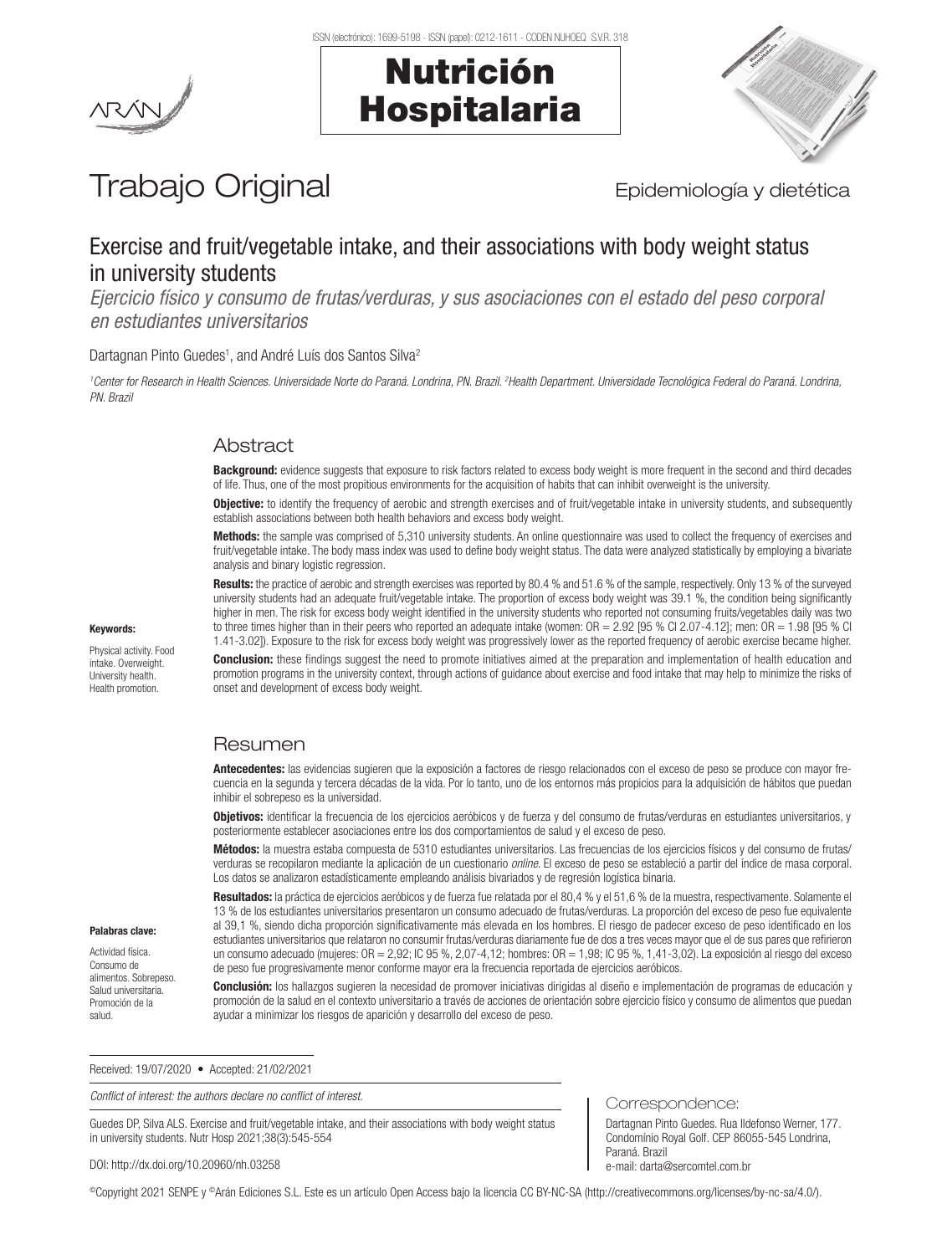Nutrición

Hospitalaria



# Trabajo Original **Epidemiología y dietética**

# Exercise and fruit/vegetable intake, and their associations with body weight status in university students

*Ejercicio físico y consumo de frutas/verduras, y sus asociaciones con el estado del peso corporal en estudiantes universitarios*

#### Dartagnan Pinto Guedes<sup>1</sup>, and André Luís dos Santos Silva<sup>2</sup>

<sup>1</sup>Center for Research in Health Sciences. Universidade Norte do Paraná. Londrina, PN. Brazil. <sup>2</sup>Health Department. Universidade Tecnológica Federal do Paraná. Londrina, *PN. Brazil*

## **Abstract**

Background: evidence suggests that exposure to risk factors related to excess body weight is more frequent in the second and third decades of life. Thus, one of the most propitious environments for the acquisition of habits that can inhibit overweight is the university.

Objective: to identify the frequency of aerobic and strength exercises and of fruit/vegetable intake in university students, and subsequently establish associations between both health behaviors and excess body weight.

Methods: the sample was comprised of 5,310 university students. An online questionnaire was used to collect the frequency of exercises and fruit/vegetable intake. The body mass index was used to define body weight status. The data were analyzed statistically by employing a bivariate analysis and binary logistic regression.

Results: the practice of aerobic and strength exercises was reported by 80.4 % and 51.6 % of the sample, respectively. Only 13 % of the surveyed university students had an adequate fruit/vegetable intake. The proportion of excess body weight was 39.1 %, the condition being significantly higher in men. The risk for excess body weight identified in the university students who reported not consuming fruits/vegetables daily was two to three times higher than in their peers who reported an adequate intake (women:  $OR = 2.92$  [95 % Cl 2.07-4.12]; men:  $OR = 1.98$  [95 % Cl 1.41-3.02]). Exposure to the risk for excess body weight was progressively lower as the reported frequency of aerobic exercise became higher.

Conclusion: these findings suggest the need to promote initiatives aimed at the preparation and implementation of health education and promotion programs in the university context, through actions of guidance about exercise and food intake that may help to minimize the risks of onset and development of excess body weight.

## Resumen

Antecedentes: las evidencias sugieren que la exposición a factores de riesgo relacionados con el exceso de peso se produce con mayor frecuencia en la segunda y tercera décadas de la vida. Por lo tanto, uno de los entornos más propicios para la adquisición de hábitos que puedan inhibir el sobrepeso es la universidad.

Objetivos: identificar la frecuencia de los ejercicios aeróbicos y de fuerza y del consumo de frutas/verduras en estudiantes universitarios, y posteriormente establecer asociaciones entre los dos comportamientos de salud y el exceso de peso.

Métodos: la muestra estaba compuesta de 5310 estudiantes universitarios. Las frecuencias de los ejercicios físicos y del consumo de frutas/ verduras se recopilaron mediante la aplicación de un cuestionario *online*. El exceso de peso se estableció a partir del índice de masa corporal. Los datos se analizaron estadísticamente empleando análisis bivariados y de regresión logística binaria.

Resultados: la práctica de ejercicios aeróbicos y de fuerza fue relatada por el 80,4 % y el 51,6 % de la muestra, respectivamente. Solamente el 13 % de los estudiantes universitarios presentaron un consumo adecuado de frutas/verduras. La proporción del exceso de peso fue equivalente al 39,1 %, siendo dicha proporción significativamente más elevada en los hombres. El riesgo de padecer exceso de peso identificado en los estudiantes universitarios que relataron no consumir frutas/verduras diariamente fue de dos a tres veces mayor que el de sus pares que refirieron un consumo adecuado (mujeres: OR = 2,92; IC 95 %, 2,07-4,12; hombres: OR = 1,98; IC 95 %, 1,41-3,02). La exposición al riesgo del exceso de peso fue progresivamente menor conforme mayor era la frecuencia reportada de ejercicios aeróbicos.

Conclusión: los hallazgos sugieren la necesidad de promover iniciativas dirigidas al diseño e implementación de programas de educación y promoción de la salud en el contexto universitario a través de acciones de orientación sobre ejercicio físico y consumo de alimentos que puedan ayudar a minimizar los riesgos de aparición y desarrollo del exceso de peso.

Correspondence:

e-mail: darta@sercomtel.com.br

Paraná. Brazil

Dartagnan Pinto Guedes. Rua Ildefonso Werner, 177. Condomínio Royal Golf. CEP 86055-545 Londrina,

Received: 19/07/2020 • Accepted: 21/02/2021

*Conflict of interest: the authors declare no conflict of interest.*

Guedes DP, Silva ALS. Exercise and fruit/vegetable intake, and their associations with body weight status in university students. Nutr Hosp 2021;38(3):545-554

DOI: http://dx.doi.org/10.20960/nh.03258

©Copyright 2021 SENPE y ©Arán Ediciones S.L. Este es un artículo Open Access bajo la licencia CC BY-NC-SA (http://creativecommons.org/licenses/by-nc-sa/4.0/).

#### Keywords:

Physical activity. Food intake. Overweight. University health. Health promotion.

Palabras clave: Actividad física. Consumo de alimentos. Sobrepeso. Salud universitaria. Promoción de la salud.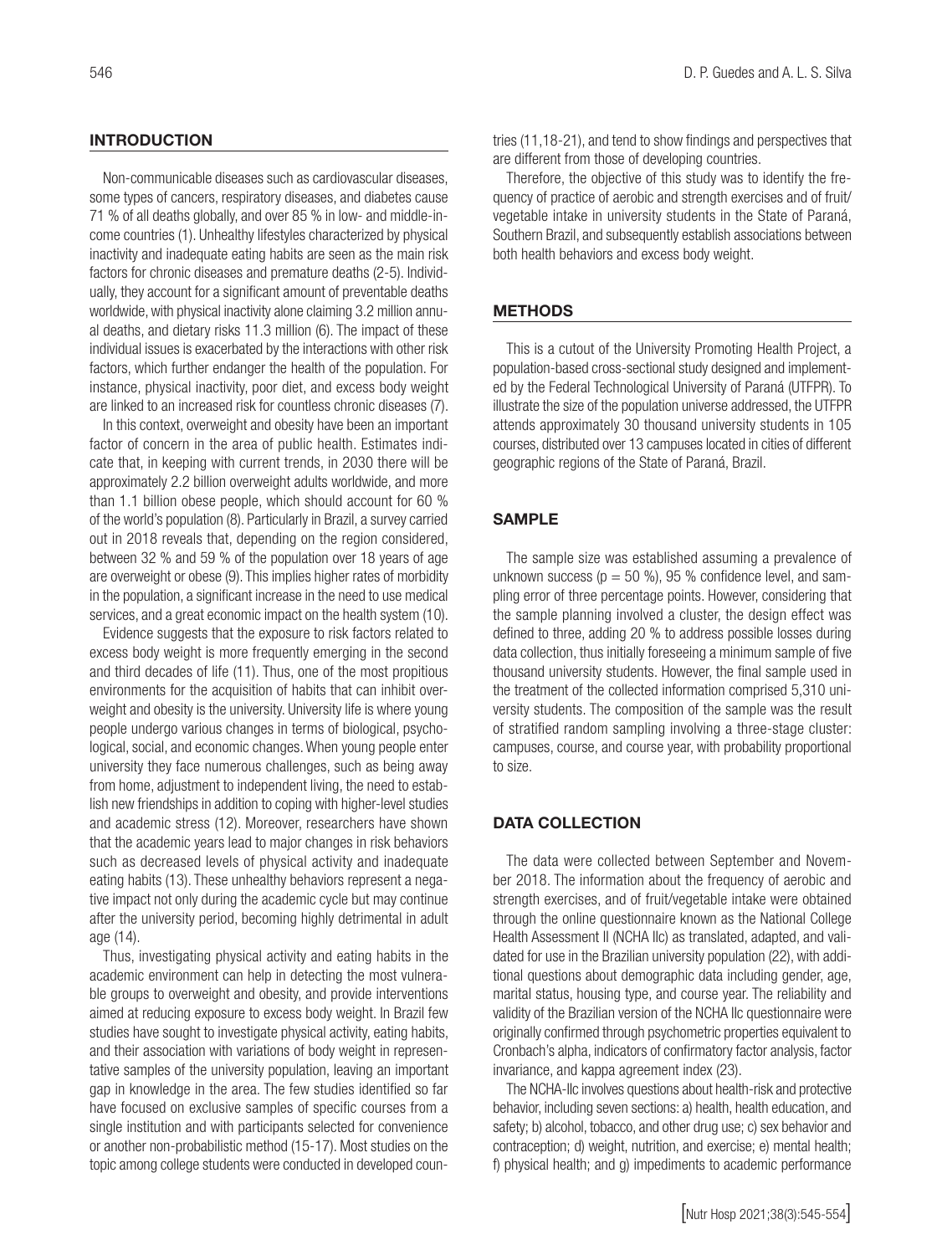#### **INTRODUCTION**

Non-communicable diseases such as cardiovascular diseases, some types of cancers, respiratory diseases, and diabetes cause 71 % of all deaths globally, and over 85 % in low- and middle-income countries (1). Unhealthy lifestyles characterized by physical inactivity and inadequate eating habits are seen as the main risk factors for chronic diseases and premature deaths (2-5). Individually, they account for a significant amount of preventable deaths worldwide, with physical inactivity alone claiming 3.2 million annual deaths, and dietary risks 11.3 million (6). The impact of these individual issues is exacerbated by the interactions with other risk factors, which further endanger the health of the population. For instance, physical inactivity, poor diet, and excess body weight are linked to an increased risk for countless chronic diseases (7).

In this context, overweight and obesity have been an important factor of concern in the area of public health. Estimates indicate that, in keeping with current trends, in 2030 there will be approximately 2.2 billion overweight adults worldwide, and more than 1.1 billion obese people, which should account for 60 % of the world's population (8). Particularly in Brazil, a survey carried out in 2018 reveals that, depending on the region considered, between 32 % and 59 % of the population over 18 years of age are overweight or obese (9). This implies higher rates of morbidity in the population, a significant increase in the need to use medical services, and a great economic impact on the health system (10).

Evidence suggests that the exposure to risk factors related to excess body weight is more frequently emerging in the second and third decades of life (11). Thus, one of the most propitious environments for the acquisition of habits that can inhibit overweight and obesity is the university. University life is where young people undergo various changes in terms of biological, psychological, social, and economic changes. When young people enter university they face numerous challenges, such as being away from home, adjustment to independent living, the need to establish new friendships in addition to coping with higher-level studies and academic stress (12). Moreover, researchers have shown that the academic years lead to major changes in risk behaviors such as decreased levels of physical activity and inadequate eating habits (13). These unhealthy behaviors represent a negative impact not only during the academic cycle but may continue after the university period, becoming highly detrimental in adult age (14).

Thus, investigating physical activity and eating habits in the academic environment can help in detecting the most vulnerable groups to overweight and obesity, and provide interventions aimed at reducing exposure to excess body weight. In Brazil few studies have sought to investigate physical activity, eating habits, and their association with variations of body weight in representative samples of the university population, leaving an important gap in knowledge in the area. The few studies identified so far have focused on exclusive samples of specific courses from a single institution and with participants selected for convenience or another non-probabilistic method (15-17). Most studies on the topic among college students were conducted in developed countries (11,18-21), and tend to show findings and perspectives that are different from those of developing countries.

Therefore, the objective of this study was to identify the frequency of practice of aerobic and strength exercises and of fruit/ vegetable intake in university students in the State of Paraná, Southern Brazil, and subsequently establish associations between both health behaviors and excess body weight.

#### **METHODS**

This is a cutout of the University Promoting Health Project, a population-based cross-sectional study designed and implemented by the Federal Technological University of Paraná (UTFPR). To illustrate the size of the population universe addressed, the UTFPR attends approximately 30 thousand university students in 105 courses, distributed over 13 campuses located in cities of different geographic regions of the State of Paraná, Brazil.

#### SAMPLE

The sample size was established assuming a prevalence of unknown success ( $p = 50$  %), 95 % confidence level, and sampling error of three percentage points. However, considering that the sample planning involved a cluster, the design effect was defined to three, adding 20 % to address possible losses during data collection, thus initially foreseeing a minimum sample of five thousand university students. However, the final sample used in the treatment of the collected information comprised 5,310 university students. The composition of the sample was the result of stratified random sampling involving a three-stage cluster: campuses, course, and course year, with probability proportional to size.

#### DATA COLLECTION

The data were collected between September and November 2018. The information about the frequency of aerobic and strength exercises, and of fruit/vegetable intake were obtained through the online questionnaire known as the National College Health Assessment II (NCHA IIc) as translated, adapted, and validated for use in the Brazilian university population (22), with additional questions about demographic data including gender, age, marital status, housing type, and course year. The reliability and validity of the Brazilian version of the NCHA IIc questionnaire were originally confirmed through psychometric properties equivalent to Cronbach's alpha, indicators of confirmatory factor analysis, factor invariance, and kappa agreement index (23).

The NCHA-IIc involves questions about health-risk and protective behavior, including seven sections: a) health, health education, and safety; b) alcohol, tobacco, and other drug use; c) sex behavior and contraception; d) weight, nutrition, and exercise; e) mental health; f) physical health; and g) impediments to academic performance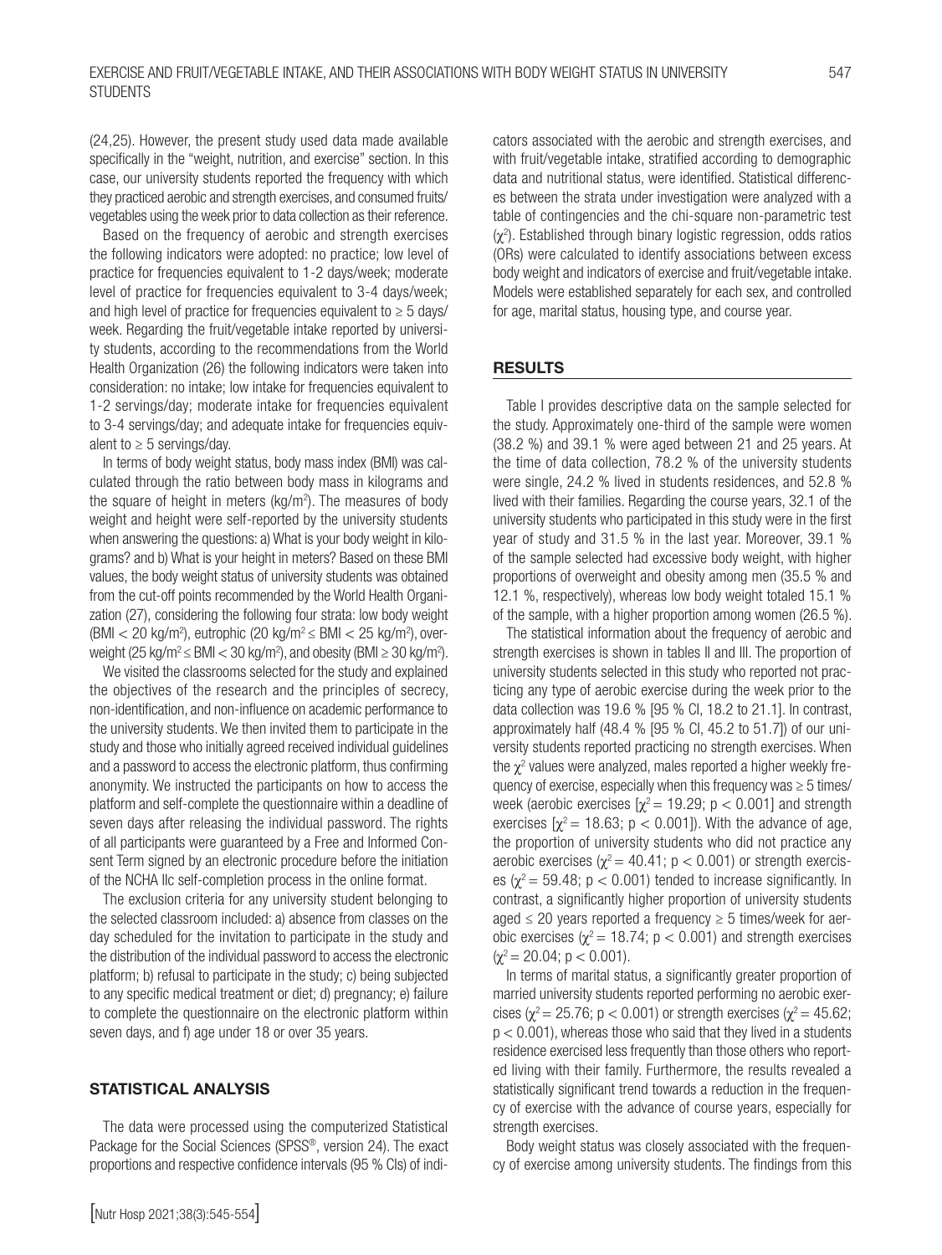(24,25). However, the present study used data made available specifically in the "weight, nutrition, and exercise" section. In this case, our university students reported the frequency with which they practiced aerobic and strength exercises, and consumed fruits/ vegetables using the week prior to data collection as their reference.

Based on the frequency of aerobic and strength exercises the following indicators were adopted: no practice; low level of practice for frequencies equivalent to 1-2 days/week; moderate level of practice for frequencies equivalent to 3-4 days/week; and high level of practice for frequencies equivalent to  $\geq 5$  days/ week. Regarding the fruit/vegetable intake reported by university students, according to the recommendations from the World Health Organization (26) the following indicators were taken into consideration: no intake; low intake for frequencies equivalent to 1-2 servings/day; moderate intake for frequencies equivalent to 3-4 servings/day; and adequate intake for frequencies equivalent to  $\geq 5$  servings/day.

In terms of body weight status, body mass index (BMI) was calculated through the ratio between body mass in kilograms and the square of height in meters (kg/m<sup>2</sup>). The measures of body weight and height were self-reported by the university students when answering the questions: a) What is your body weight in kilograms? and b) What is your height in meters? Based on these BMI values, the body weight status of university students was obtained from the cut-off points recommended by the World Health Organization (27), considering the following four strata: low body weight (BMI < 20 kg/m<sup>2</sup>), eutrophic (20 kg/m<sup>2</sup>  $\leq$  BMI < 25 kg/m<sup>2</sup>), overweight (25 kg/m<sup>2</sup>  $\leq$  BMI  $<$  30 kg/m<sup>2</sup>), and obesity (BMI  $\geq$  30 kg/m<sup>2</sup>).

We visited the classrooms selected for the study and explained the objectives of the research and the principles of secrecy, non-identification, and non-influence on academic performance to the university students. We then invited them to participate in the study and those who initially agreed received individual guidelines and a password to access the electronic platform, thus confirming anonymity. We instructed the participants on how to access the platform and self-complete the questionnaire within a deadline of seven days after releasing the individual password. The rights of all participants were guaranteed by a Free and Informed Consent Term signed by an electronic procedure before the initiation of the NCHA IIc self-completion process in the online format.

The exclusion criteria for any university student belonging to the selected classroom included: a) absence from classes on the day scheduled for the invitation to participate in the study and the distribution of the individual password to access the electronic platform; b) refusal to participate in the study; c) being subjected to any specific medical treatment or diet; d) pregnancy; e) failure to complete the questionnaire on the electronic platform within seven days, and f) age under 18 or over 35 years.

#### STATISTICAL ANALYSIS

The data were processed using the computerized Statistical Package for the Social Sciences (SPSS®, version 24). The exact proportions and respective confidence intervals (95 % CIs) of indicators associated with the aerobic and strength exercises, and with fruit/vegetable intake, stratified according to demographic data and nutritional status, were identified. Statistical differences between the strata under investigation were analyzed with a table of contingencies and the chi-square non-parametric test  $(χ<sup>2</sup>)$ . Established through binary logistic regression, odds ratios (ORs) were calculated to identify associations between excess body weight and indicators of exercise and fruit/vegetable intake. Models were established separately for each sex, and controlled for age, marital status, housing type, and course year.

#### RESULTS

Table I provides descriptive data on the sample selected for the study. Approximately one-third of the sample were women (38.2 %) and 39.1 % were aged between 21 and 25 years. At the time of data collection, 78.2 % of the university students were single, 24.2 % lived in students residences, and 52.8 % lived with their families. Regarding the course years, 32.1 of the university students who participated in this study were in the first year of study and 31.5 % in the last year. Moreover, 39.1 % of the sample selected had excessive body weight, with higher proportions of overweight and obesity among men (35.5 % and 12.1 %, respectively), whereas low body weight totaled 15.1 % of the sample, with a higher proportion among women (26.5 %).

The statistical information about the frequency of aerobic and strength exercises is shown in tables II and III. The proportion of university students selected in this study who reported not practicing any type of aerobic exercise during the week prior to the data collection was 19.6 % [95 % CI, 18.2 to 21.1]. In contrast, approximately half (48.4 % [95 % CI, 45.2 to 51.7]) of our university students reported practicing no strength exercises. When the  $\chi^2$  values were analyzed, males reported a higher weekly frequency of exercise, especially when this frequency was  $\geq 5$  times/ week (aerobic exercises  $[\chi^2 = 19.29; p < 0.001]$  and strength exercises  $[\chi^2 = 18.63; p < 0.001]$ ). With the advance of age, the proportion of university students who did not practice any aerobic exercises ( $\chi^2$  = 40.41; p < 0.001) or strength exercises ( $\chi^2$  = 59.48; p < 0.001) tended to increase significantly. In contrast, a significantly higher proportion of university students aged  $\leq$  20 years reported a frequency  $\geq$  5 times/week for aerobic exercises ( $χ² = 18.74$ ;  $p < 0.001$ ) and strength exercises  $(y^2 = 20.04; p < 0.001)$ .

In terms of marital status, a significantly greater proportion of married university students reported performing no aerobic exercises ( $\chi^2$  = 25.76; p < 0.001) or strength exercises ( $\chi^2$  = 45.62;  $p < 0.001$ ), whereas those who said that they lived in a students residence exercised less frequently than those others who reported living with their family. Furthermore, the results revealed a statistically significant trend towards a reduction in the frequency of exercise with the advance of course years, especially for strength exercises.

Body weight status was closely associated with the frequency of exercise among university students. The findings from this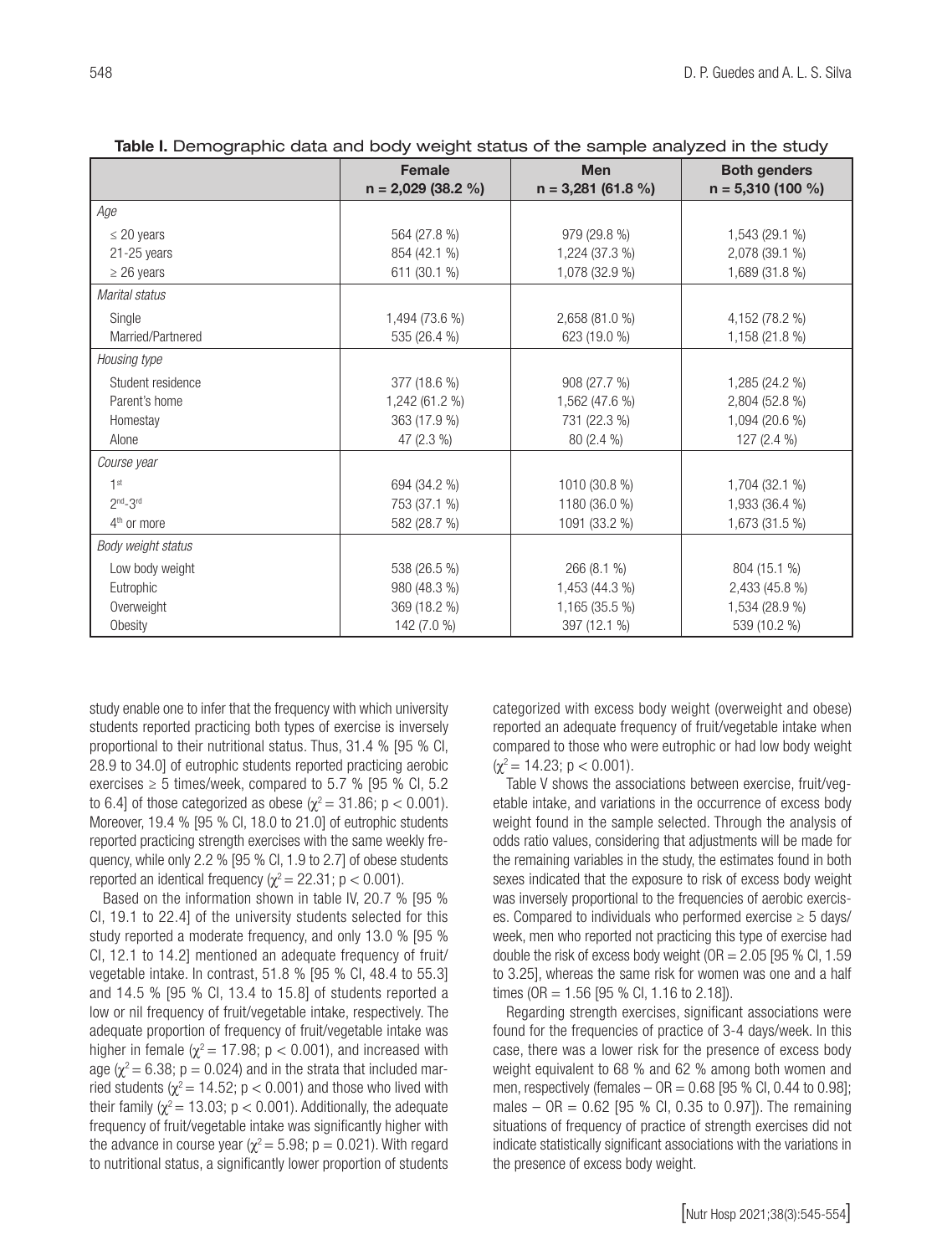2,433 (45.8 %) 1,534 (28.9 %) 539 (10.2 %)

| Table I. Demographic data and body weight status of the sample analyzed in the study |                             |                      |                     |  |
|--------------------------------------------------------------------------------------|-----------------------------|----------------------|---------------------|--|
|                                                                                      | <b>Female</b><br><b>Men</b> |                      | <b>Both genders</b> |  |
|                                                                                      | $n = 2,029$ (38.2 %)        | $n = 3,281$ (61.8 %) | $n = 5,310(100\%)$  |  |
| Age                                                                                  |                             |                      |                     |  |
| $\leq$ 20 years                                                                      | 564 (27.8 %)                | 979 (29.8 %)         | 1,543 (29.1 %)      |  |
| $21-25$ years                                                                        | 854 (42.1 %)                | 1,224 (37.3 %)       | 2,078 (39.1 %)      |  |
| $\geq$ 26 years                                                                      | 611 (30.1 %)                | 1,078 (32.9 %)       | 1,689 (31.8 %)      |  |
| Marital status                                                                       |                             |                      |                     |  |
| Single                                                                               | 1,494 (73.6 %)              | 2,658 (81.0 %)       | 4,152 (78.2 %)      |  |
| Married/Partnered                                                                    | 535 (26.4 %)                | 623 (19.0 %)         | 1,158 (21.8 %)      |  |
| Housing type                                                                         |                             |                      |                     |  |
| Student residence                                                                    | 377 (18.6 %)                | 908 (27.7 %)         | 1,285 (24.2 %)      |  |
| Parent's home                                                                        | 1,242 (61.2 %)              | 1,562 (47.6 %)       | 2,804 (52.8 %)      |  |
| Homestay                                                                             | 363 (17.9 %)                | 731 (22.3 %)         | 1,094 (20.6 %)      |  |
| Alone                                                                                | 47 (2.3 %)                  | 80 (2.4 %)           | 127 $(2.4\%)$       |  |
| Course year                                                                          |                             |                      |                     |  |
| 1 <sup>st</sup>                                                                      | 694 (34.2 %)                | 1010 (30.8 %)        | 1,704 (32.1 %)      |  |
| $2nd-3rd$                                                                            | 753 (37.1 %)                | 1180 (36.0 %)        | 1,933 (36.4 %)      |  |
| 4 <sup>th</sup> or more                                                              | 582 (28.7 %)                | 1091 (33.2 %)        | 1,673 (31.5 %)      |  |
| Body weight status                                                                   |                             |                      |                     |  |
| Low body weight                                                                      | 538 (26.5 %)                | 266 (8.1 %)          | 804 (15.1 %)        |  |

980 (48.3 %) 369 (18.2 %) 142 (7.0 %)

Table I. Demographic data and body weight status of the sample analyzed in the study

study enable one to infer that the frequency with which university students reported practicing both types of exercise is inversely proportional to their nutritional status. Thus, 31.4 % [95 % CI, 28.9 to 34.0] of eutrophic students reported practicing aerobic exercises  $\geq 5$  times/week, compared to 5.7 % [95 % Cl, 5.2] to 6.4] of those categorized as obese ( $\chi^2$  = 31.86; p < 0.001). Moreover, 19.4 % [95 % CI, 18.0 to 21.0] of eutrophic students reported practicing strength exercises with the same weekly frequency, while only 2.2 % [95 % CI, 1.9 to 2.7] of obese students reported an identical frequency ( $\chi^2$  = 22.31; p < 0.001).

Based on the information shown in table IV, 20.7 % [95 % CI, 19.1 to 22.4] of the university students selected for this study reported a moderate frequency, and only 13.0 % [95 % CI, 12.1 to 14.2] mentioned an adequate frequency of fruit/ vegetable intake. In contrast, 51.8 % [95 % CI, 48.4 to 55.3] and 14.5 % [95 % CI, 13.4 to 15.8] of students reported a low or nil frequency of fruit/vegetable intake, respectively. The adequate proportion of frequency of fruit/vegetable intake was higher in female ( $\chi^2$  = 17.98; p < 0.001), and increased with age ( $\chi^2$  = 6.38; p = 0.024) and in the strata that included married students ( $\chi^2$  = 14.52; p < 0.001) and those who lived with their family ( $\chi^2$  = 13.03; p < 0.001). Additionally, the adequate frequency of fruit/vegetable intake was significantly higher with the advance in course year ( $\chi^2$  = 5.98; p = 0.021). With regard to nutritional status, a significantly lower proportion of students categorized with excess body weight (overweight and obese) reported an adequate frequency of fruit/vegetable intake when compared to those who were eutrophic or had low body weight  $(y^2 = 14.23; p < 0.001)$ .

1,453 (44.3 %) 1,165 (35.5 %) 397 (12.1 %)

Table V shows the associations between exercise, fruit/vegetable intake, and variations in the occurrence of excess body weight found in the sample selected. Through the analysis of odds ratio values, considering that adjustments will be made for the remaining variables in the study, the estimates found in both sexes indicated that the exposure to risk of excess body weight was inversely proportional to the frequencies of aerobic exercises. Compared to individuals who performed exercise  $\geq 5$  days/ week, men who reported not practicing this type of exercise had double the risk of excess body weight ( $OR = 2.05$  [95 % Cl, 1.59 to 3.25], whereas the same risk for women was one and a half times (OR = 1.56 [95 % CI, 1.16 to 2.18]).

Regarding strength exercises, significant associations were found for the frequencies of practice of 3-4 days/week. In this case, there was a lower risk for the presence of excess body weight equivalent to 68 % and 62 % among both women and men, respectively (females  $-$  OR  $=$  0.68 [95 % Cl, 0.44 to 0.98]; males –  $OR = 0.62$  [95 % Cl, 0.35 to 0.97]). The remaining situations of frequency of practice of strength exercises did not indicate statistically significant associations with the variations in the presence of excess body weight.

Eutrophic **Overweight Obesity**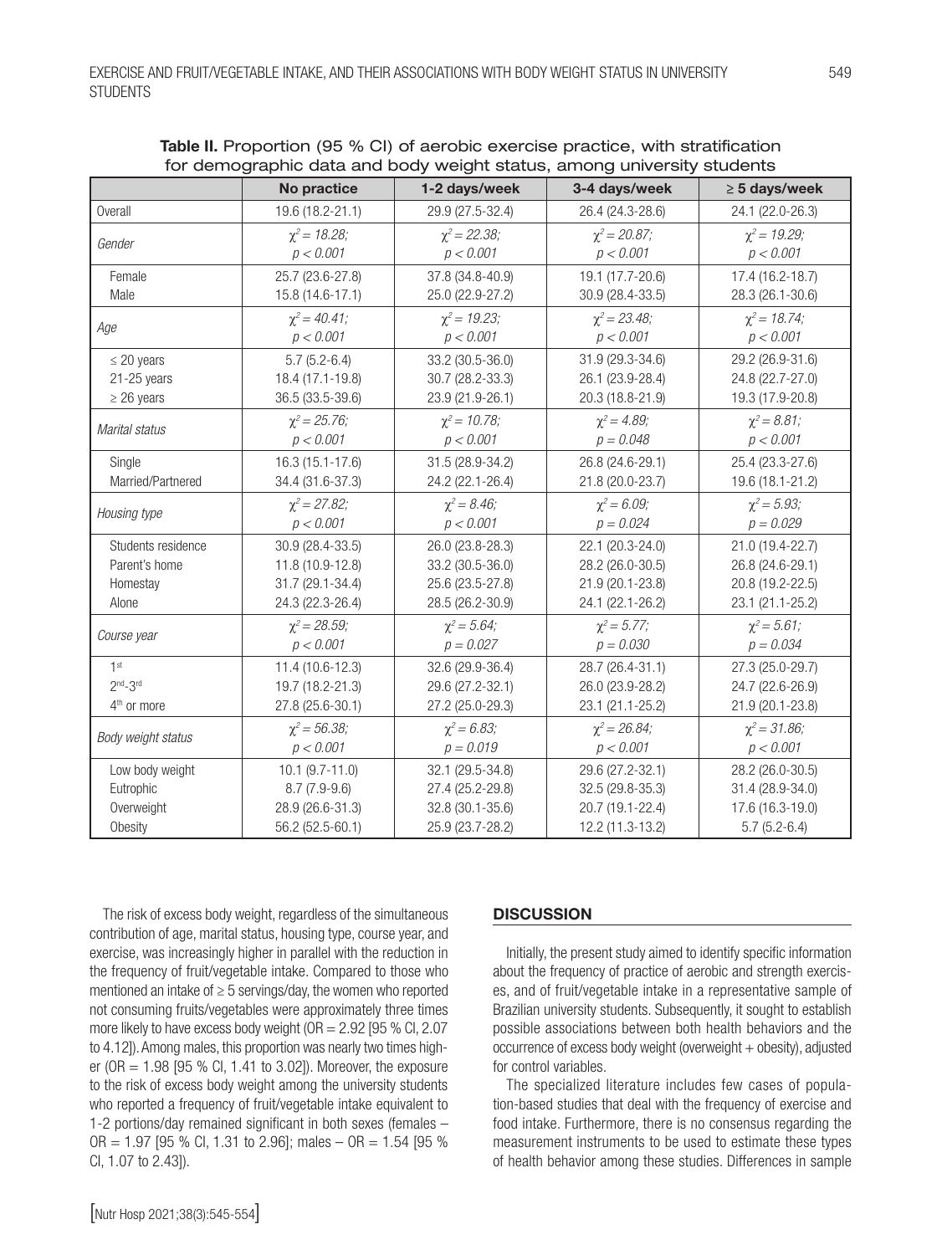|                         | No practice          | 1-2 days/week      | ior aoiriographic aata aha boay wolght otatao, among anivoroity otaaoint<br>3-4 days/week | $\geq$ 5 days/week |
|-------------------------|----------------------|--------------------|-------------------------------------------------------------------------------------------|--------------------|
| Overall                 | 19.6 (18.2-21.1)     | 29.9 (27.5-32.4)   | 26.4 (24.3-28.6)                                                                          | 24.1 (22.0-26.3)   |
| Gender                  | $\chi^2$ = 18.28;    | $\chi^2 = 22.38$ ; | $\chi^2 = 20.87$ ;                                                                        | $\chi^2$ = 19.29;  |
|                         | p < 0.001            | p < 0.001          | p < 0.001                                                                                 | p < 0.001          |
| Female                  | 25.7 (23.6-27.8)     | 37.8 (34.8-40.9)   | 19.1 (17.7-20.6)                                                                          | 17.4 (16.2-18.7)   |
| Male                    | 15.8 (14.6-17.1)     | 25.0 (22.9-27.2)   | 30.9 (28.4-33.5)                                                                          | 28.3 (26.1-30.6)   |
| Age                     | $\chi^2 = 40.41$ ;   | $\chi^2$ = 19.23;  | $\chi^2 = 23.48$ ;                                                                        | $\chi^2$ = 18.74;  |
|                         | p < 0.001            | p < 0.001          | p < 0.001                                                                                 | p < 0.001          |
| $\leq$ 20 years         | $5.7(5.2-6.4)$       | 33.2 (30.5-36.0)   | 31.9 (29.3-34.6)                                                                          | 29.2 (26.9-31.6)   |
| $21 - 25$ years         | 18.4 (17.1-19.8)     | 30.7 (28.2-33.3)   | 26.1 (23.9-28.4)                                                                          | 24.8 (22.7-27.0)   |
| $\geq$ 26 years         | 36.5 (33.5-39.6)     | 23.9 (21.9-26.1)   | 20.3 (18.8-21.9)                                                                          | 19.3 (17.9-20.8)   |
| Marital status          | $\chi^2 = 25.76$ ;   | $\chi^2$ = 10.78;  | $\chi^2 = 4.89$ ;                                                                         | $\chi^2 = 8.81$ ;  |
|                         | p < 0.001            | p < 0.001          | $p = 0.048$                                                                               | p < 0.001          |
| Single                  | 16.3 (15.1-17.6)     | 31.5 (28.9-34.2)   | 26.8 (24.6-29.1)                                                                          | 25.4 (23.3-27.6)   |
| Married/Partnered       | 34.4 (31.6-37.3)     | 24.2 (22.1-26.4)   | 21.8 (20.0-23.7)                                                                          | 19.6 (18.1-21.2)   |
| Housing type            | $\gamma^2 = 27.82$ ; | $\chi^2 = 8.46$ ;  | $\chi^2 = 6.09$ ;                                                                         | $\chi^2 = 5.93$ ;  |
|                         | p < 0.001            | p < 0.001          | $p = 0.024$                                                                               | $p = 0.029$        |
| Students residence      | 30.9 (28.4-33.5)     | 26.0 (23.8-28.3)   | 22.1 (20.3-24.0)                                                                          | 21.0 (19.4-22.7)   |
| Parent's home           | 11.8 (10.9-12.8)     | 33.2 (30.5-36.0)   | 28.2 (26.0-30.5)                                                                          | 26.8 (24.6-29.1)   |
| Homestay                | 31.7 (29.1-34.4)     | 25.6 (23.5-27.8)   | 21.9 (20.1-23.8)                                                                          | 20.8 (19.2-22.5)   |
| Alone                   | 24.3 (22.3-26.4)     | 28.5 (26.2-30.9)   | 24.1 (22.1-26.2)                                                                          | 23.1 (21.1-25.2)   |
| Course year             | $\chi^2 = 28.59$ ;   | $\chi^2 = 5.64$ ;  | $\chi^2 = 5.77;$                                                                          | $\chi^2 = 5.61$ ;  |
|                         | p < 0.001            | $p = 0.027$        | $p = 0.030$                                                                               | $p = 0.034$        |
| 1 <sup>st</sup>         | 11.4 (10.6-12.3)     | 32.6 (29.9-36.4)   | 28.7 (26.4-31.1)                                                                          | 27.3 (25.0-29.7)   |
| $2nd-3rd$               | 19.7 (18.2-21.3)     | 29.6 (27.2-32.1)   | 26.0 (23.9-28.2)                                                                          | 24.7 (22.6-26.9)   |
| 4 <sup>th</sup> or more | 27.8 (25.6-30.1)     | 27.2 (25.0-29.3)   | 23.1 (21.1-25.2)                                                                          | 21.9 (20.1-23.8)   |
| Body weight status      | $\chi^2 = 56.38$ ;   | $\chi^2 = 6.83$ ;  | $\chi^2 = 26.84$ ;                                                                        | $\chi^2 = 31.86$ ; |
|                         | p < 0.001            | $p = 0.019$        | p < 0.001                                                                                 | p < 0.001          |
| Low body weight         | $10.1 (9.7 - 11.0)$  | 32.1 (29.5-34.8)   | 29.6 (27.2-32.1)                                                                          | 28.2 (26.0-30.5)   |
| Eutrophic               | $8.7(7.9-9.6)$       | 27.4 (25.2-29.8)   | 32.5 (29.8-35.3)                                                                          | 31.4 (28.9-34.0)   |
| Overweight              | 28.9 (26.6-31.3)     | 32.8 (30.1-35.6)   | 20.7 (19.1-22.4)                                                                          | 17.6 (16.3-19.0)   |
| Obesity                 | 56.2 (52.5-60.1)     | 25.9 (23.7-28.2)   | 12.2 (11.3-13.2)                                                                          | $5.7(5.2-6.4)$     |

Table II. Proportion (95 % CI) of aerobic exercise practice, with stratification for demographic data and body weight status, among university students

The risk of excess body weight, regardless of the simultaneous contribution of age, marital status, housing type, course year, and exercise, was increasingly higher in parallel with the reduction in the frequency of fruit/vegetable intake. Compared to those who mentioned an intake of ≥ 5 servings/day, the women who reported not consuming fruits/vegetables were approximately three times more likely to have excess body weight ( $OR = 2.92$  [95 % Cl, 2.07 to 4.12]). Among males, this proportion was nearly two times higher ( $OR = 1.98$  [95 % Cl, 1.41 to 3.02]). Moreover, the exposure to the risk of excess body weight among the university students who reported a frequency of fruit/vegetable intake equivalent to 1-2 portions/day remained significant in both sexes (females –  $OR = 1.97$  [95 % Cl, 1.31 to 2.96]; males  $- OR = 1.54$  [95 % CI, 1.07 to 2.43]).

#### **DISCUSSION**

Initially, the present study aimed to identify specific information about the frequency of practice of aerobic and strength exercises, and of fruit/vegetable intake in a representative sample of Brazilian university students. Subsequently, it sought to establish possible associations between both health behaviors and the  $occurrence of excess body weight (overweight + obesity)$ , adjusted for control variables.

The specialized literature includes few cases of population-based studies that deal with the frequency of exercise and food intake. Furthermore, there is no consensus regarding the measurement instruments to be used to estimate these types of health behavior among these studies. Differences in sample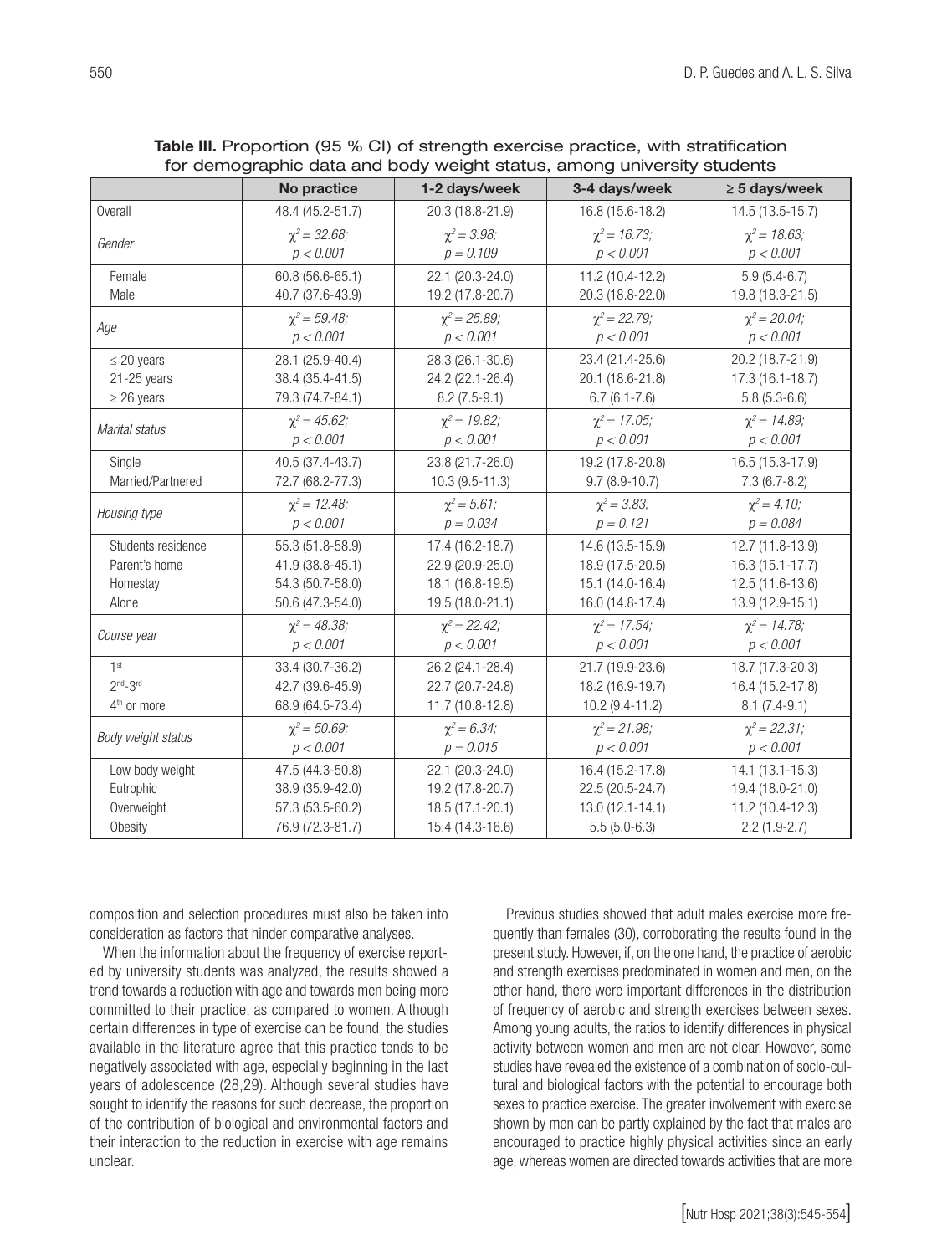| Tor dernographic data and body weight status, among university students |                    |                     |                     |                    |  |
|-------------------------------------------------------------------------|--------------------|---------------------|---------------------|--------------------|--|
|                                                                         | No practice        | 1-2 days/week       | 3-4 days/week       | $\geq$ 5 days/week |  |
| Overall                                                                 | 48.4 (45.2-51.7)   | 20.3 (18.8-21.9)    | 16.8 (15.6-18.2)    | 14.5 (13.5-15.7)   |  |
| Gender                                                                  | $\chi^2 = 32.68$ ; | $\chi^2 = 3.98$ ;   | $\chi^2$ = 16.73;   | $\chi^2$ = 18.63;  |  |
|                                                                         | p < 0.001          | $p = 0.109$         | p < 0.001           | p < 0.001          |  |
| Female                                                                  | 60.8 (56.6-65.1)   | 22.1 (20.3-24.0)    | 11.2 (10.4-12.2)    | $5.9(5.4-6.7)$     |  |
| Male                                                                    | 40.7 (37.6-43.9)   | 19.2 (17.8-20.7)    | 20.3 (18.8-22.0)    | 19.8 (18.3-21.5)   |  |
| Age                                                                     | $\chi^2 = 59.48$ ; | $\chi^2 = 25.89$ ;  | $\chi^2 = 22.79$ ;  | $\chi^2$ = 20.04;  |  |
|                                                                         | p < 0.001          | p < 0.001           | p < 0.001           | p < 0.001          |  |
| $\leq$ 20 years                                                         | 28.1 (25.9-40.4)   | 28.3 (26.1-30.6)    | 23.4 (21.4-25.6)    | 20.2 (18.7-21.9)   |  |
| $21 - 25$ years                                                         | 38.4 (35.4-41.5)   | 24.2 (22.1-26.4)    | 20.1 (18.6-21.8)    | 17.3 (16.1-18.7)   |  |
| $\geq$ 26 years                                                         | 79.3 (74.7-84.1)   | $8.2(7.5-9.1)$      | $6.7(6.1 - 7.6)$    | $5.8(5.3-6.6)$     |  |
| Marital status                                                          | $\chi^2 = 45.62$ ; | $\gamma^2$ = 19.82; | $\chi^2$ = 17.05;   | $\chi^2$ = 14.89;  |  |
|                                                                         | p < 0.001          | p < 0.001           | p < 0.001           | p < 0.001          |  |
| Single                                                                  | 40.5 (37.4-43.7)   | 23.8 (21.7-26.0)    | 19.2 (17.8-20.8)    | 16.5 (15.3-17.9)   |  |
| Married/Partnered                                                       | 72.7 (68.2-77.3)   | $10.3(9.5-11.3)$    | $9.7(8.9 - 10.7)$   | $7.3(6.7-8.2)$     |  |
| Housing type                                                            | $\chi^2 = 12.48$ ; | $\chi^2 = 5.61$ ;   | $\chi^2 = 3.83$ ;   | $\chi^2 = 4.10$ ;  |  |
|                                                                         | p < 0.001          | $p = 0.034$         | $p = 0.121$         | $p = 0.084$        |  |
| Students residence                                                      | 55.3 (51.8-58.9)   | 17.4 (16.2-18.7)    | 14.6 (13.5-15.9)    | 12.7 (11.8-13.9)   |  |
| Parent's home                                                           | 41.9 (38.8-45.1)   | 22.9 (20.9-25.0)    | 18.9 (17.5-20.5)    | 16.3 (15.1-17.7)   |  |
| Homestay                                                                | 54.3 (50.7-58.0)   | 18.1 (16.8-19.5)    | 15.1 (14.0-16.4)    | 12.5 (11.6-13.6)   |  |
| Alone                                                                   | 50.6 (47.3-54.0)   | 19.5 (18.0-21.1)    | 16.0 (14.8-17.4)    | 13.9 (12.9-15.1)   |  |
|                                                                         | $\chi^2 = 48.38$ ; | $\chi^2 = 22.42$ ;  | $\chi^2$ = 17.54;   | $\chi^2$ = 14.78;  |  |
| Course year                                                             | p < 0.001          | p < 0.001           | p < 0.001           | p < 0.001          |  |
| 1 <sup>st</sup>                                                         | 33.4 (30.7-36.2)   | 26.2 (24.1-28.4)    | 21.7 (19.9-23.6)    | 18.7 (17.3-20.3)   |  |
| $2nd-3rd$                                                               | 42.7 (39.6-45.9)   | 22.7 (20.7-24.8)    | 18.2 (16.9-19.7)    | 16.4 (15.2-17.8)   |  |
| 4 <sup>th</sup> or more                                                 | 68.9 (64.5-73.4)   | 11.7 (10.8-12.8)    | 10.2 (9.4-11.2)     | $8.1 (7.4 - 9.1)$  |  |
| Body weight status                                                      | $\chi^2 = 50.69$ ; | $\chi^2 = 6.34$ ;   | $\chi^2 = 21.98$ ;  | $\chi^2 = 22.31$ ; |  |
|                                                                         | p < 0.001          | $p = 0.015$         | p < 0.001           | p < 0.001          |  |
| Low body weight                                                         | 47.5 (44.3-50.8)   | 22.1 (20.3-24.0)    | 16.4 (15.2-17.8)    | 14.1 (13.1-15.3)   |  |
| Eutrophic                                                               | 38.9 (35.9-42.0)   | 19.2 (17.8-20.7)    | 22.5 (20.5-24.7)    | 19.4 (18.0-21.0)   |  |
| Overweight                                                              | 57.3 (53.5-60.2)   | 18.5 (17.1-20.1)    | $13.0(12.1 - 14.1)$ | 11.2 (10.4-12.3)   |  |
| Obesity                                                                 | 76.9 (72.3-81.7)   | 15.4 (14.3-16.6)    | $5.5(5.0-6.3)$      | $2.2(1.9-2.7)$     |  |

| Table III. Proportion (95 % CI) of strength exercise practice, with stratification |
|------------------------------------------------------------------------------------|
| for demographic data and body weight status, among university students             |

composition and selection procedures must also be taken into consideration as factors that hinder comparative analyses.

When the information about the frequency of exercise reported by university students was analyzed, the results showed a trend towards a reduction with age and towards men being more committed to their practice, as compared to women. Although certain differences in type of exercise can be found, the studies available in the literature agree that this practice tends to be negatively associated with age, especially beginning in the last years of adolescence (28,29). Although several studies have sought to identify the reasons for such decrease, the proportion of the contribution of biological and environmental factors and their interaction to the reduction in exercise with age remains unclear.

Previous studies showed that adult males exercise more frequently than females (30), corroborating the results found in the present study. However, if, on the one hand, the practice of aerobic and strength exercises predominated in women and men, on the other hand, there were important differences in the distribution of frequency of aerobic and strength exercises between sexes. Among young adults, the ratios to identify differences in physical activity between women and men are not clear. However, some studies have revealed the existence of a combination of socio-cultural and biological factors with the potential to encourage both sexes to practice exercise. The greater involvement with exercise shown by men can be partly explained by the fact that males are encouraged to practice highly physical activities since an early age, whereas women are directed towards activities that are more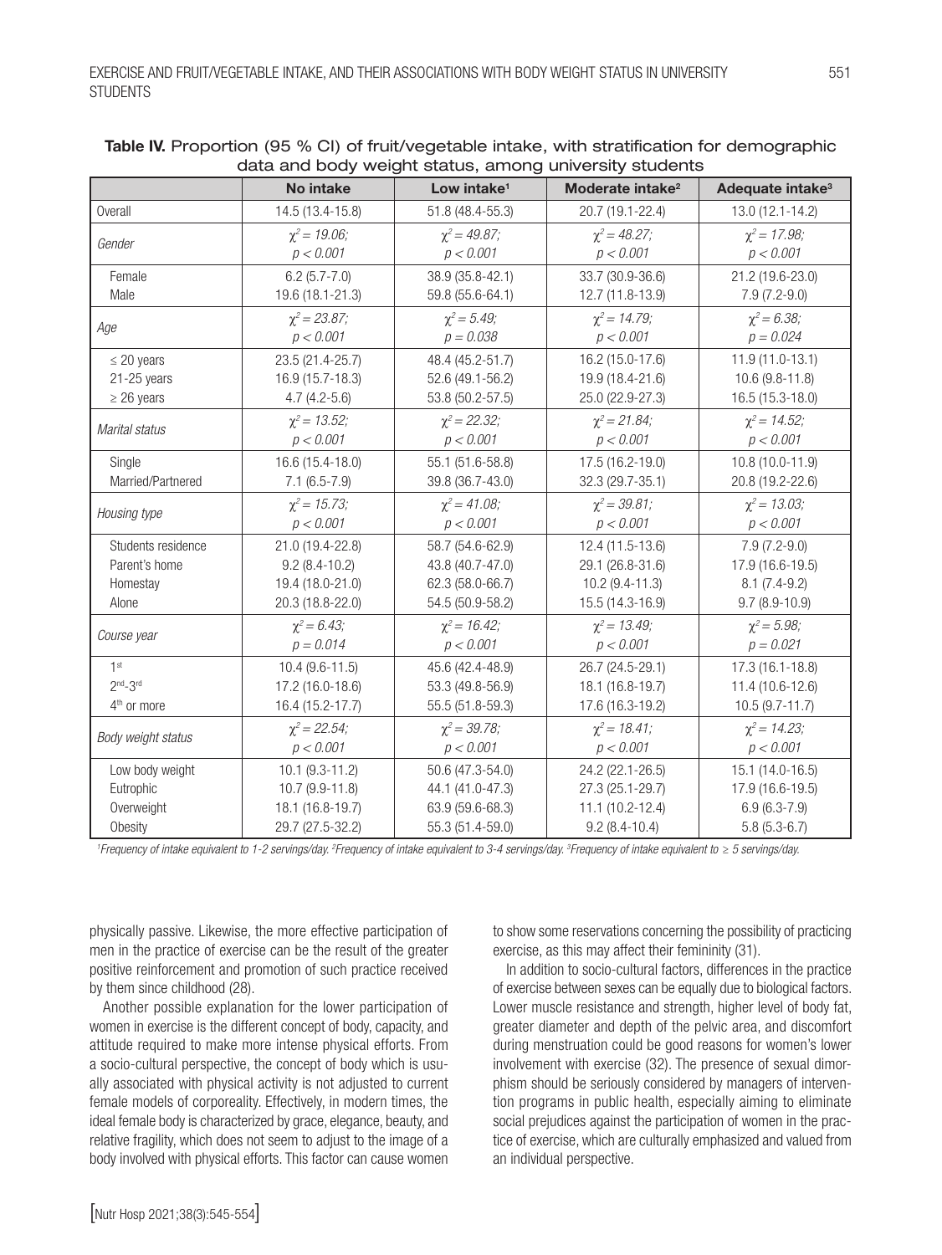|                         | ada and body weight status, among university students |                         |                              |                              |
|-------------------------|-------------------------------------------------------|-------------------------|------------------------------|------------------------------|
|                         | No intake                                             | Low intake <sup>1</sup> | Moderate intake <sup>2</sup> | Adequate intake <sup>3</sup> |
| <b>Overall</b>          | 14.5 (13.4-15.8)                                      | 51.8 (48.4-55.3)        | 20.7 (19.1-22.4)             | 13.0 (12.1-14.2)             |
|                         | $\chi^2$ = 19.06;                                     | $\chi^2 = 49.87$ ;      | $\chi^2 = 48.27$ ;           | $\chi^2$ = 17.98;            |
| Gender                  | p < 0.001                                             | p < 0.001               | p < 0.001                    | p < 0.001                    |
| Female                  | $6.2(5.7 - 7.0)$                                      | 38.9 (35.8-42.1)        | 33.7 (30.9-36.6)             | 21.2 (19.6-23.0)             |
| Male                    | 19.6 (18.1-21.3)                                      | 59.8 (55.6-64.1)        | 12.7 (11.8-13.9)             | $7.9(7.2-9.0)$               |
|                         | $\chi^2 = 23.87$ ;                                    | $\chi^2 = 5.49;$        | $\chi^2$ = 14.79;            | $\chi^2 = 6.38;$             |
| Age                     | p < 0.001                                             | $p = 0.038$             | p < 0.001                    | $p = 0.024$                  |
| $\leq$ 20 years         | 23.5 (21.4-25.7)                                      | 48.4 (45.2-51.7)        | 16.2 (15.0-17.6)             | 11.9 (11.0-13.1)             |
| $21 - 25$ years         | 16.9 (15.7-18.3)                                      | 52.6 (49.1-56.2)        | 19.9 (18.4-21.6)             | 10.6 (9.8-11.8)              |
| $\geq$ 26 years         | $4.7(4.2-5.6)$                                        | 53.8 (50.2-57.5)        | 25.0 (22.9-27.3)             | 16.5 (15.3-18.0)             |
| Marital status          | $\chi^2$ = 13.52;                                     | $\chi^2 = 22.32$ ;      | $\chi^2 = 21.84$ ;           | $\chi^2$ = 14.52;            |
|                         | p < 0.001                                             | p < 0.001               | p < 0.001                    | p < 0.001                    |
| Single                  | 16.6 (15.4-18.0)                                      | 55.1 (51.6-58.8)        | 17.5 (16.2-19.0)             | 10.8 (10.0-11.9)             |
| Married/Partnered       | $7.1(6.5-7.9)$                                        | 39.8 (36.7-43.0)        | 32.3 (29.7-35.1)             | 20.8 (19.2-22.6)             |
| Housing type            | $\chi^2$ = 15.73;                                     | $\chi^2 = 41.08$ ;      | $\chi^2 = 39.81$ ;           | $\chi^2$ = 13.03;            |
|                         | p < 0.001                                             | p < 0.001               | p < 0.001                    | p < 0.001                    |
| Students residence      | 21.0 (19.4-22.8)                                      | 58.7 (54.6-62.9)        | 12.4 (11.5-13.6)             | $7.9(7.2-9.0)$               |
| Parent's home           | $9.2(8.4-10.2)$                                       | 43.8 (40.7-47.0)        | 29.1 (26.8-31.6)             | 17.9 (16.6-19.5)             |
| Homestay                | 19.4 (18.0-21.0)                                      | 62.3 (58.0-66.7)        | $10.2$ (9.4-11.3)            | $8.1 (7.4 - 9.2)$            |
| Alone                   | 20.3 (18.8-22.0)                                      | 54.5 (50.9-58.2)        | 15.5 (14.3-16.9)             | $9.7(8.9-10.9)$              |
|                         | $\chi^2 = 6.43;$                                      | $\chi^2$ = 16.42;       | $\chi^2 = 13.49;$            | $\chi^2 = 5.98$ ;            |
| Course year             | $p = 0.014$                                           | p < 0.001               | p < 0.001                    | $p = 0.021$                  |
| 1 <sup>st</sup>         | $10.4(9.6-11.5)$                                      | 45.6 (42.4-48.9)        | 26.7 (24.5-29.1)             | 17.3 (16.1-18.8)             |
| $2nd-3rd$               | 17.2 (16.0-18.6)                                      | 53.3 (49.8-56.9)        | 18.1 (16.8-19.7)             | 11.4 (10.6-12.6)             |
| 4 <sup>th</sup> or more | 16.4 (15.2-17.7)                                      | 55.5 (51.8-59.3)        | 17.6 (16.3-19.2)             | $10.5(9.7 - 11.7)$           |
|                         | $\chi^2 = 22.54$ ;                                    | $\chi^2 = 39.78$ ;      | $\chi^2 = 18.41$ ;           | $\chi^2$ = 14.23;            |
| Body weight status      | p < 0.001                                             | p < 0.001               | p < 0.001                    | p < 0.001                    |
| Low body weight         | $10.1 (9.3 - 11.2)$                                   | 50.6 (47.3-54.0)        | 24.2 (22.1-26.5)             | 15.1 (14.0-16.5)             |
| Eutrophic               | 10.7 (9.9-11.8)                                       | 44.1 (41.0-47.3)        | 27.3 (25.1-29.7)             | 17.9 (16.6-19.5)             |
| Overweight              | 18.1 (16.8-19.7)                                      | 63.9 (59.6-68.3)        | $11.1(10.2-12.4)$            | $6.9(6.3-7.9)$               |
| Obesity                 | 29.7 (27.5-32.2)                                      | 55.3 (51.4-59.0)        | $9.2(8.4 - 10.4)$            | $5.8(5.3-6.7)$               |

#### Table IV. Proportion (95 % CI) of fruit/vegetable intake, with stratification for demographic data and body weight status, among university students

*1 Frequency of intake equivalent to 1-2 servings/day. 2 Frequency of intake equivalent to 3-4 servings/day. 3 Frequency of intake equivalent to ≥ 5 servings/day.*

physically passive. Likewise, the more effective participation of men in the practice of exercise can be the result of the greater positive reinforcement and promotion of such practice received by them since childhood (28).

Another possible explanation for the lower participation of women in exercise is the different concept of body, capacity, and attitude required to make more intense physical efforts. From a socio-cultural perspective, the concept of body which is usually associated with physical activity is not adjusted to current female models of corporeality. Effectively, in modern times, the ideal female body is characterized by grace, elegance, beauty, and relative fragility, which does not seem to adjust to the image of a body involved with physical efforts. This factor can cause women

to show some reservations concerning the possibility of practicing exercise, as this may affect their femininity (31).

In addition to socio-cultural factors, differences in the practice of exercise between sexes can be equally due to biological factors. Lower muscle resistance and strength, higher level of body fat, greater diameter and depth of the pelvic area, and discomfort during menstruation could be good reasons for women's lower involvement with exercise (32). The presence of sexual dimorphism should be seriously considered by managers of intervention programs in public health, especially aiming to eliminate social prejudices against the participation of women in the practice of exercise, which are culturally emphasized and valued from an individual perspective.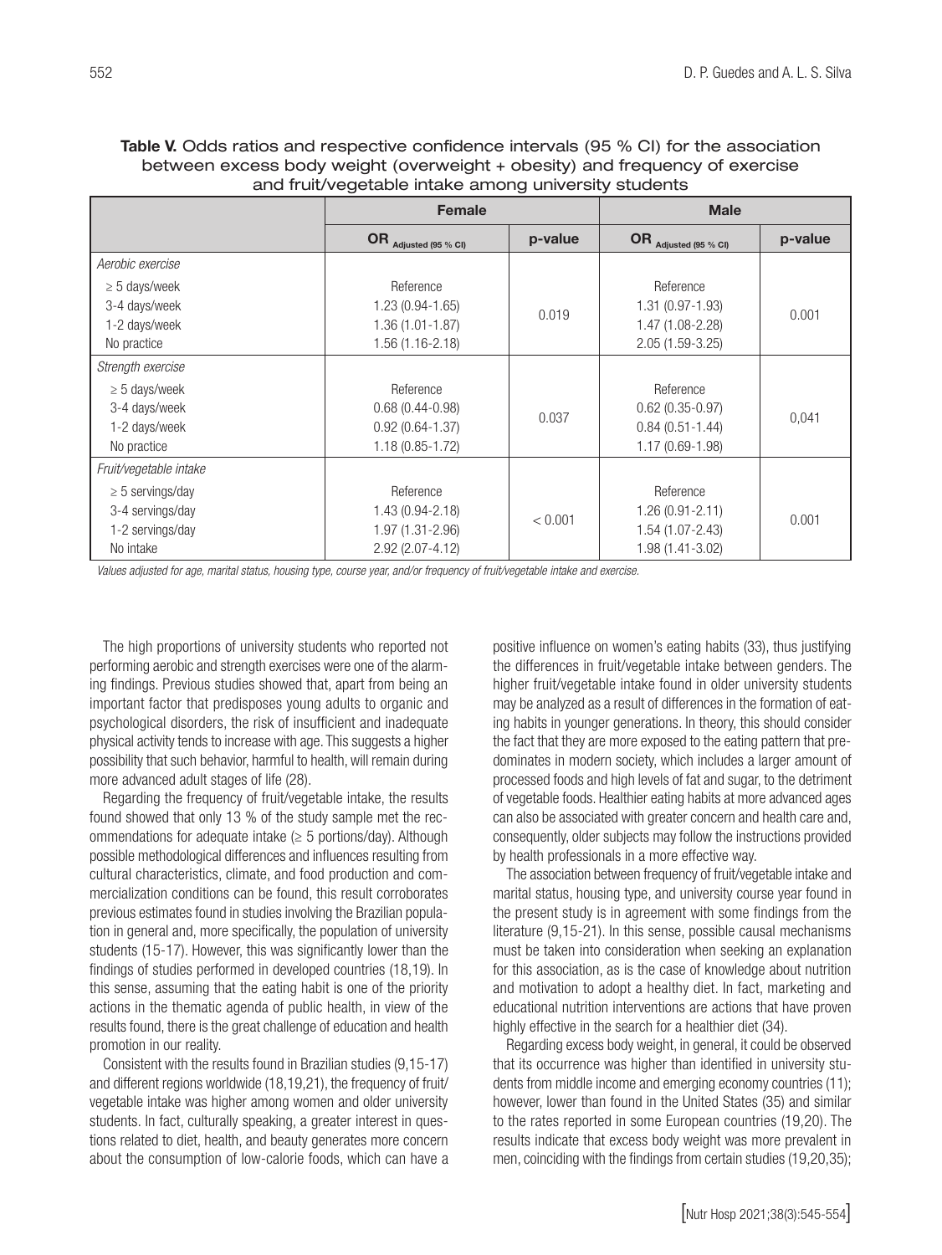| Table V. Odds ratios and respective confidence intervals (95 % CI) for the association |
|----------------------------------------------------------------------------------------|
| between excess body weight (overweight + obesity) and frequency of exercise            |
| and fruit/vegetable intake among university students                                   |

|                        | <b>Female</b>         |         | <b>Male</b>           |         |
|------------------------|-----------------------|---------|-----------------------|---------|
|                        | OR Adjusted (95 % CI) | p-value | OR Adjusted (95 % CI) | p-value |
| Aerobic exercise       |                       |         |                       |         |
| $\geq 5$ days/week     | Reference             |         | Reference             |         |
| 3-4 days/week          | $1.23(0.94-1.65)$     |         | 1.31 (0.97-1.93)      | 0.001   |
| 1-2 days/week          | 1.36 (1.01-1.87)      | 0.019   | 1.47 (1.08-2.28)      |         |
| No practice            | 1.56 (1.16-2.18)      |         | $2.05(1.59-3.25)$     |         |
| Strength exercise      |                       |         |                       |         |
| $\geq$ 5 days/week     | Reference             |         | Reference             |         |
| 3-4 days/week          | $0.68(0.44-0.98)$     |         | $0.62$ (0.35-0.97)    |         |
| 1-2 days/week          | $0.92(0.64 - 1.37)$   | 0.037   | $0.84(0.51 - 1.44)$   | 0,041   |
| No practice            | 1.18 (0.85-1.72)      |         | 1.17 (0.69-1.98)      |         |
| Fruit/vegetable intake |                       |         |                       |         |
| $\geq$ 5 servings/day  | Reference             |         | Reference             |         |
| 3-4 servings/day       | 1.43 (0.94-2.18)      |         | $1.26(0.91 - 2.11)$   |         |
| 1-2 servings/day       | 1.97 (1.31-2.96)      | < 0.001 | $1.54(1.07 - 2.43)$   | 0.001   |
| No intake              | 2.92 (2.07-4.12)      |         | 1.98 (1.41-3.02)      |         |

*Values adjusted for age, marital status, housing type, course year, and/or frequency of fruit/vegetable intake and exercise.*

The high proportions of university students who reported not performing aerobic and strength exercises were one of the alarming findings. Previous studies showed that, apart from being an important factor that predisposes young adults to organic and psychological disorders, the risk of insufficient and inadequate physical activity tends to increase with age. This suggests a higher possibility that such behavior, harmful to health, will remain during more advanced adult stages of life (28).

Regarding the frequency of fruit/vegetable intake, the results found showed that only 13 % of the study sample met the recommendations for adequate intake  $(\geq 5$  portions/day). Although possible methodological differences and influences resulting from cultural characteristics, climate, and food production and commercialization conditions can be found, this result corroborates previous estimates found in studies involving the Brazilian population in general and, more specifically, the population of university students (15-17). However, this was significantly lower than the findings of studies performed in developed countries (18,19). In this sense, assuming that the eating habit is one of the priority actions in the thematic agenda of public health, in view of the results found, there is the great challenge of education and health promotion in our reality.

Consistent with the results found in Brazilian studies (9,15-17) and different regions worldwide (18,19,21), the frequency of fruit/ vegetable intake was higher among women and older university students. In fact, culturally speaking, a greater interest in questions related to diet, health, and beauty generates more concern about the consumption of low-calorie foods, which can have a positive influence on women's eating habits (33), thus justifying the differences in fruit/vegetable intake between genders. The higher fruit/vegetable intake found in older university students may be analyzed as a result of differences in the formation of eating habits in younger generations. In theory, this should consider the fact that they are more exposed to the eating pattern that predominates in modern society, which includes a larger amount of processed foods and high levels of fat and sugar, to the detriment of vegetable foods. Healthier eating habits at more advanced ages can also be associated with greater concern and health care and, consequently, older subjects may follow the instructions provided by health professionals in a more effective way.

The association between frequency of fruit/vegetable intake and marital status, housing type, and university course year found in the present study is in agreement with some findings from the literature (9,15-21). In this sense, possible causal mechanisms must be taken into consideration when seeking an explanation for this association, as is the case of knowledge about nutrition and motivation to adopt a healthy diet. In fact, marketing and educational nutrition interventions are actions that have proven highly effective in the search for a healthier diet (34).

Regarding excess body weight, in general, it could be observed that its occurrence was higher than identified in university students from middle income and emerging economy countries (11); however, lower than found in the United States (35) and similar to the rates reported in some European countries (19,20). The results indicate that excess body weight was more prevalent in men, coinciding with the findings from certain studies (19,20,35);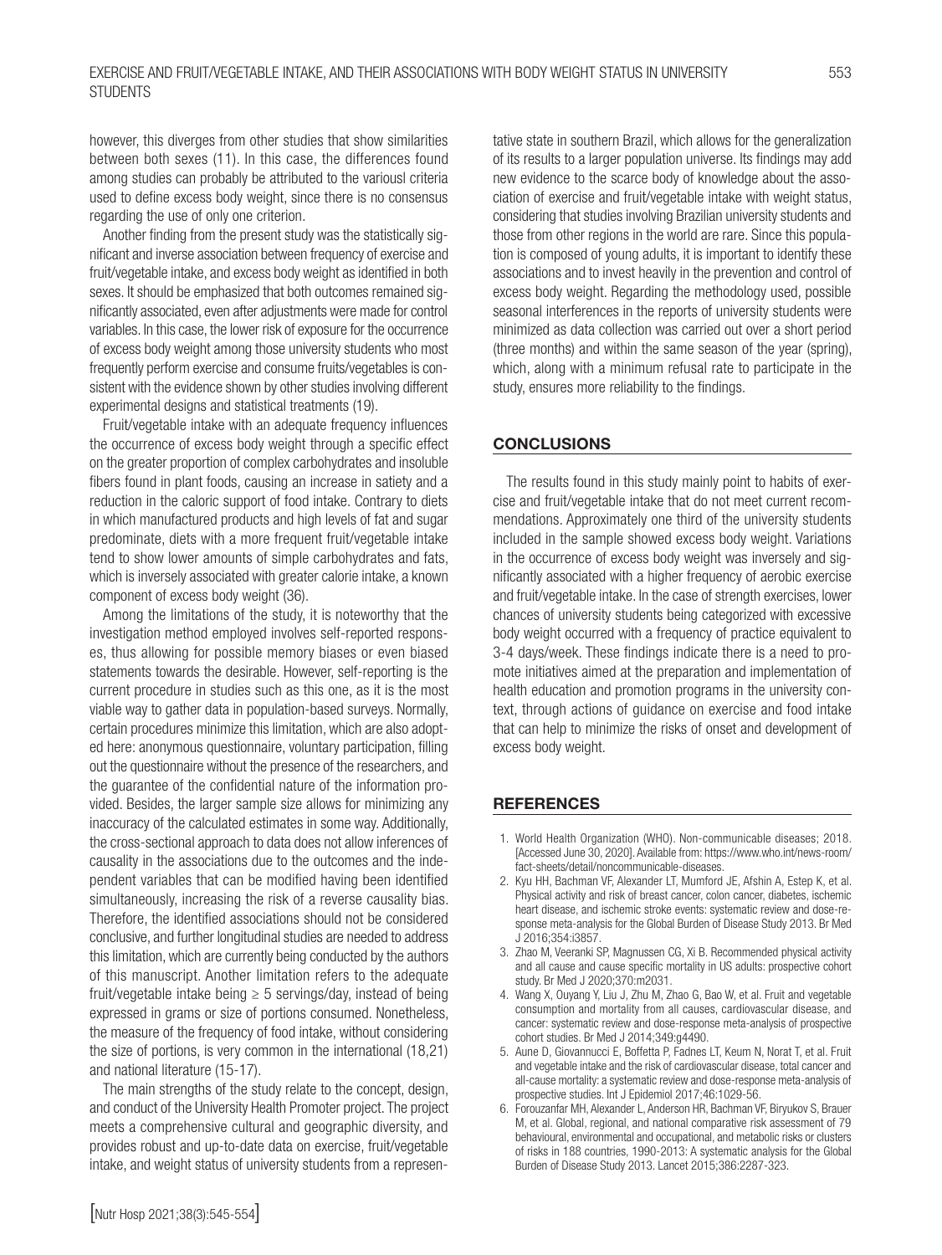however, this diverges from other studies that show similarities between both sexes (11). In this case, the differences found among studies can probably be attributed to the variousl criteria used to define excess body weight, since there is no consensus regarding the use of only one criterion.

Another finding from the present study was the statistically significant and inverse association between frequency of exercise and fruit/vegetable intake, and excess body weight as identified in both sexes. It should be emphasized that both outcomes remained significantly associated, even after adjustments were made for control variables. In this case, the lower risk of exposure for the occurrence of excess body weight among those university students who most frequently perform exercise and consume fruits/vegetables is consistent with the evidence shown by other studies involving different experimental designs and statistical treatments (19).

Fruit/vegetable intake with an adequate frequency influences the occurrence of excess body weight through a specific effect on the greater proportion of complex carbohydrates and insoluble fibers found in plant foods, causing an increase in satiety and a reduction in the caloric support of food intake. Contrary to diets in which manufactured products and high levels of fat and sugar predominate, diets with a more frequent fruit/vegetable intake tend to show lower amounts of simple carbohydrates and fats, which is inversely associated with greater calorie intake, a known component of excess body weight (36).

Among the limitations of the study, it is noteworthy that the investigation method employed involves self-reported responses, thus allowing for possible memory biases or even biased statements towards the desirable. However, self-reporting is the current procedure in studies such as this one, as it is the most viable way to gather data in population-based surveys. Normally, certain procedures minimize this limitation, which are also adopted here: anonymous questionnaire, voluntary participation, filling out the questionnaire without the presence of the researchers, and the guarantee of the confidential nature of the information provided. Besides, the larger sample size allows for minimizing any inaccuracy of the calculated estimates in some way. Additionally, the cross-sectional approach to data does not allow inferences of causality in the associations due to the outcomes and the independent variables that can be modified having been identified simultaneously, increasing the risk of a reverse causality bias. Therefore, the identified associations should not be considered conclusive, and further longitudinal studies are needed to address this limitation, which are currently being conducted by the authors of this manuscript. Another limitation refers to the adequate fruit/vegetable intake being  $\geq$  5 servings/day, instead of being expressed in grams or size of portions consumed. Nonetheless, the measure of the frequency of food intake, without considering the size of portions, is very common in the international (18,21) and national literature (15-17).

The main strengths of the study relate to the concept, design, and conduct of the University Health Promoter project. The project meets a comprehensive cultural and geographic diversity, and provides robust and up-to-date data on exercise, fruit/vegetable intake, and weight status of university students from a representative state in southern Brazil, which allows for the generalization of its results to a larger population universe. Its findings may add new evidence to the scarce body of knowledge about the association of exercise and fruit/vegetable intake with weight status, considering that studies involving Brazilian university students and those from other regions in the world are rare. Since this population is composed of young adults, it is important to identify these associations and to invest heavily in the prevention and control of excess body weight. Regarding the methodology used, possible seasonal interferences in the reports of university students were minimized as data collection was carried out over a short period (three months) and within the same season of the year (spring), which, along with a minimum refusal rate to participate in the study, ensures more reliability to the findings.

#### **CONCLUSIONS**

The results found in this study mainly point to habits of exercise and fruit/vegetable intake that do not meet current recommendations. Approximately one third of the university students included in the sample showed excess body weight. Variations in the occurrence of excess body weight was inversely and significantly associated with a higher frequency of aerobic exercise and fruit/vegetable intake. In the case of strength exercises, lower chances of university students being categorized with excessive body weight occurred with a frequency of practice equivalent to 3-4 days/week. These findings indicate there is a need to promote initiatives aimed at the preparation and implementation of health education and promotion programs in the university context, through actions of guidance on exercise and food intake that can help to minimize the risks of onset and development of excess body weight.

#### **REFERENCES**

- 1. World Health Organization (WHO). Non-communicable diseases; 2018. [Accessed June 30, 2020]. Available from: https://www.who.int/news-room/ fact-sheets/detail/noncommunicable-diseases.
- 2. Kyu HH, Bachman VF, Alexander LT, Mumford JE, Afshin A, Estep K, et al. Physical activity and risk of breast cancer, colon cancer, diabetes, ischemic heart disease, and ischemic stroke events: systematic review and dose-response meta-analysis for the Global Burden of Disease Study 2013. Br Med J 2016;354:i3857.
- 3. Zhao M, Veeranki SP, Magnussen CG, Xi B. Recommended physical activity and all cause and cause specific mortality in US adults: prospective cohort study. Br Med J 2020;370:m2031.
- 4. Wang X, Ouyang Y, Liu J, Zhu M, Zhao G, Bao W, et al. Fruit and vegetable consumption and mortality from all causes, cardiovascular disease, and cancer: systematic review and dose-response meta-analysis of prospective cohort studies. Br Med J 2014;349:g4490.
- 5. Aune D, Giovannucci E, Boffetta P, Fadnes LT, Keum N, Norat T, et al. Fruit and vegetable intake and the risk of cardiovascular disease, total cancer and all-cause mortality: a systematic review and dose-response meta-analysis of prospective studies. Int J Epidemiol 2017;46:1029-56.
- 6. Forouzanfar MH, Alexander L, Anderson HR, Bachman VF, Biryukov S, Brauer M, et al. Global, regional, and national comparative risk assessment of 79 behavioural, environmental and occupational, and metabolic risks or clusters of risks in 188 countries, 1990-2013: A systematic analysis for the Global Burden of Disease Study 2013. Lancet 2015;386:2287-323.